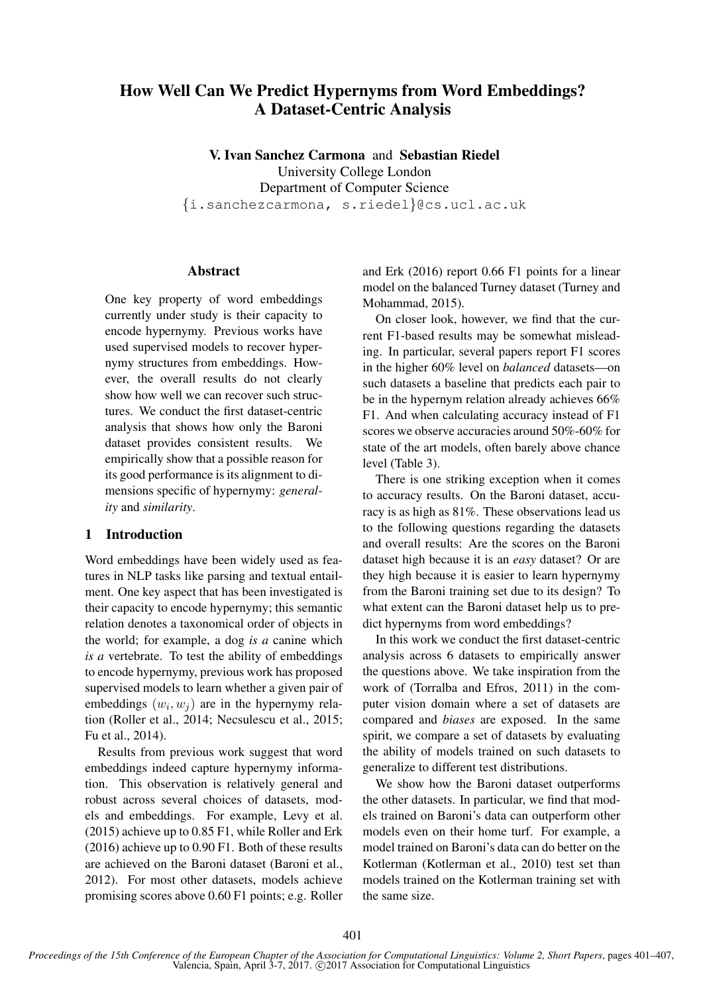# How Well Can We Predict Hypernyms from Word Embeddings? A Dataset-Centric Analysis

V. Ivan Sanchez Carmona and Sebastian Riedel University College London Department of Computer Science {i.sanchezcarmona, s.riedel}@cs.ucl.ac.uk

## Abstract

One key property of word embeddings currently under study is their capacity to encode hypernymy. Previous works have used supervised models to recover hypernymy structures from embeddings. However, the overall results do not clearly show how well we can recover such structures. We conduct the first dataset-centric analysis that shows how only the Baroni dataset provides consistent results. We empirically show that a possible reason for its good performance is its alignment to dimensions specific of hypernymy: *generality* and *similarity*.

## 1 Introduction

Word embeddings have been widely used as features in NLP tasks like parsing and textual entailment. One key aspect that has been investigated is their capacity to encode hypernymy; this semantic relation denotes a taxonomical order of objects in the world; for example, a dog *is a* canine which *is a* vertebrate. To test the ability of embeddings to encode hypernymy, previous work has proposed supervised models to learn whether a given pair of embeddings  $(w_i, w_j)$  are in the hypernymy relation (Roller et al., 2014; Necsulescu et al., 2015; Fu et al., 2014).

Results from previous work suggest that word embeddings indeed capture hypernymy information. This observation is relatively general and robust across several choices of datasets, models and embeddings. For example, Levy et al. (2015) achieve up to 0.85 F1, while Roller and Erk (2016) achieve up to 0.90 F1. Both of these results are achieved on the Baroni dataset (Baroni et al., 2012). For most other datasets, models achieve promising scores above 0.60 F1 points; e.g. Roller and Erk (2016) report 0.66 F1 points for a linear model on the balanced Turney dataset (Turney and Mohammad, 2015).

On closer look, however, we find that the current F1-based results may be somewhat misleading. In particular, several papers report F1 scores in the higher 60% level on *balanced* datasets—on such datasets a baseline that predicts each pair to be in the hypernym relation already achieves 66% F1. And when calculating accuracy instead of F1 scores we observe accuracies around 50%-60% for state of the art models, often barely above chance level (Table 3).

There is one striking exception when it comes to accuracy results. On the Baroni dataset, accuracy is as high as 81%. These observations lead us to the following questions regarding the datasets and overall results: Are the scores on the Baroni dataset high because it is an *easy* dataset? Or are they high because it is easier to learn hypernymy from the Baroni training set due to its design? To what extent can the Baroni dataset help us to predict hypernyms from word embeddings?

In this work we conduct the first dataset-centric analysis across 6 datasets to empirically answer the questions above. We take inspiration from the work of (Torralba and Efros, 2011) in the computer vision domain where a set of datasets are compared and *biases* are exposed. In the same spirit, we compare a set of datasets by evaluating the ability of models trained on such datasets to generalize to different test distributions.

We show how the Baroni dataset outperforms the other datasets. In particular, we find that models trained on Baroni's data can outperform other models even on their home turf. For example, a model trained on Baroni's data can do better on the Kotlerman (Kotlerman et al., 2010) test set than models trained on the Kotlerman training set with the same size.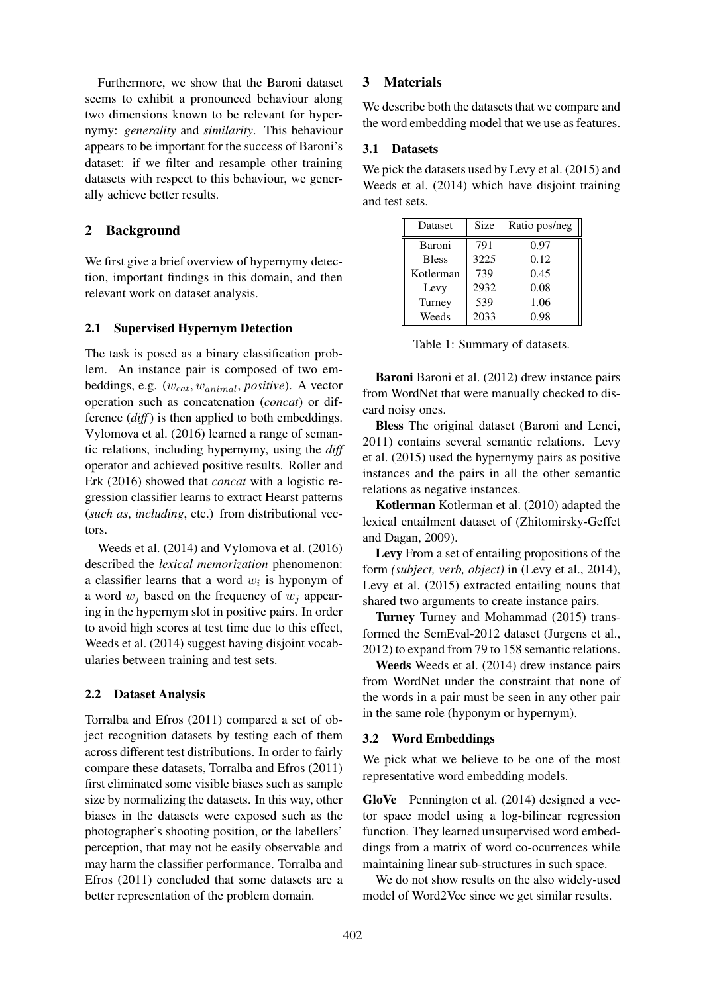Furthermore, we show that the Baroni dataset seems to exhibit a pronounced behaviour along two dimensions known to be relevant for hypernymy: *generality* and *similarity*. This behaviour appears to be important for the success of Baroni's dataset: if we filter and resample other training datasets with respect to this behaviour, we generally achieve better results.

# 2 Background

We first give a brief overview of hypernymy detection, important findings in this domain, and then relevant work on dataset analysis.

## 2.1 Supervised Hypernym Detection

The task is posed as a binary classification problem. An instance pair is composed of two embeddings, e.g.  $(w_{cat}, w_{animal}, positive)$ . A vector operation such as concatenation (*concat*) or difference (*diff*) is then applied to both embeddings. Vylomova et al. (2016) learned a range of semantic relations, including hypernymy, using the *diff* operator and achieved positive results. Roller and Erk (2016) showed that *concat* with a logistic regression classifier learns to extract Hearst patterns (*such as*, *including*, etc.) from distributional vectors.

Weeds et al. (2014) and Vylomova et al. (2016) described the *lexical memorization* phenomenon: a classifier learns that a word  $w_i$  is hyponym of a word  $w_i$  based on the frequency of  $w_i$  appearing in the hypernym slot in positive pairs. In order to avoid high scores at test time due to this effect, Weeds et al. (2014) suggest having disjoint vocabularies between training and test sets.

## 2.2 Dataset Analysis

Torralba and Efros (2011) compared a set of object recognition datasets by testing each of them across different test distributions. In order to fairly compare these datasets, Torralba and Efros (2011) first eliminated some visible biases such as sample size by normalizing the datasets. In this way, other biases in the datasets were exposed such as the photographer's shooting position, or the labellers' perception, that may not be easily observable and may harm the classifier performance. Torralba and Efros (2011) concluded that some datasets are a better representation of the problem domain.

## 3 Materials

We describe both the datasets that we compare and the word embedding model that we use as features.

## 3.1 Datasets

We pick the datasets used by Levy et al. (2015) and Weeds et al. (2014) which have disjoint training and test sets.

| Dataset      | <b>Size</b> | Ratio pos/neg |
|--------------|-------------|---------------|
| Baroni       | 791         | 0.97          |
| <b>Bless</b> | 3225        | 0.12          |
| Kotlerman    | 739         | 0.45          |
| Levy         | 2932        | 0.08          |
| Turney       | 539         | 1.06          |
| Weeds        | 2033        | 0.98          |

Table 1: Summary of datasets.

Baroni Baroni et al. (2012) drew instance pairs from WordNet that were manually checked to discard noisy ones.

Bless The original dataset (Baroni and Lenci, 2011) contains several semantic relations. Levy et al. (2015) used the hypernymy pairs as positive instances and the pairs in all the other semantic relations as negative instances.

Kotlerman Kotlerman et al. (2010) adapted the lexical entailment dataset of (Zhitomirsky-Geffet and Dagan, 2009).

Levy From a set of entailing propositions of the form *(subject, verb, object)* in (Levy et al., 2014), Levy et al. (2015) extracted entailing nouns that shared two arguments to create instance pairs.

Turney Turney and Mohammad (2015) transformed the SemEval-2012 dataset (Jurgens et al., 2012) to expand from 79 to 158 semantic relations.

Weeds Weeds et al. (2014) drew instance pairs from WordNet under the constraint that none of the words in a pair must be seen in any other pair in the same role (hyponym or hypernym).

## 3.2 Word Embeddings

We pick what we believe to be one of the most representative word embedding models.

GloVe Pennington et al. (2014) designed a vector space model using a log-bilinear regression function. They learned unsupervised word embeddings from a matrix of word co-ocurrences while maintaining linear sub-structures in such space.

We do not show results on the also widely-used model of Word2Vec since we get similar results.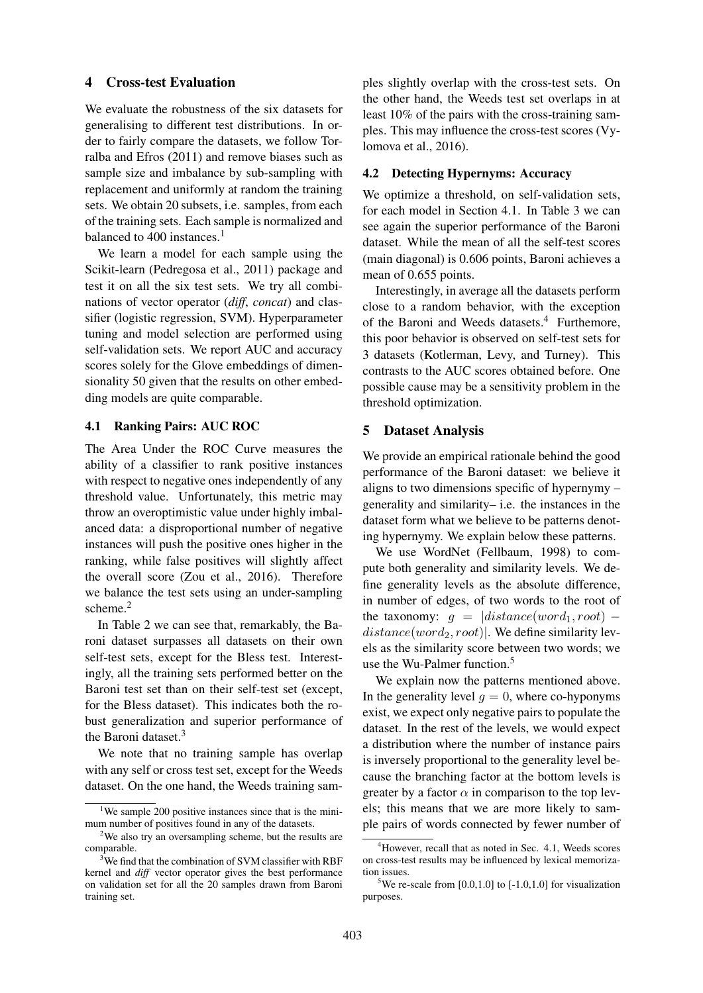### 4 Cross-test Evaluation

We evaluate the robustness of the six datasets for generalising to different test distributions. In order to fairly compare the datasets, we follow Torralba and Efros (2011) and remove biases such as sample size and imbalance by sub-sampling with replacement and uniformly at random the training sets. We obtain 20 subsets, i.e. samples, from each of the training sets. Each sample is normalized and balanced to  $400$  instances.<sup>1</sup>

We learn a model for each sample using the Scikit-learn (Pedregosa et al., 2011) package and test it on all the six test sets. We try all combinations of vector operator (*diff*, *concat*) and classifier (logistic regression, SVM). Hyperparameter tuning and model selection are performed using self-validation sets. We report AUC and accuracy scores solely for the Glove embeddings of dimensionality 50 given that the results on other embedding models are quite comparable.

#### 4.1 Ranking Pairs: AUC ROC

The Area Under the ROC Curve measures the ability of a classifier to rank positive instances with respect to negative ones independently of any threshold value. Unfortunately, this metric may throw an overoptimistic value under highly imbalanced data: a disproportional number of negative instances will push the positive ones higher in the ranking, while false positives will slightly affect the overall score (Zou et al., 2016). Therefore we balance the test sets using an under-sampling scheme.<sup>2</sup>

In Table 2 we can see that, remarkably, the Baroni dataset surpasses all datasets on their own self-test sets, except for the Bless test. Interestingly, all the training sets performed better on the Baroni test set than on their self-test set (except, for the Bless dataset). This indicates both the robust generalization and superior performance of the Baroni dataset. $3$ 

We note that no training sample has overlap with any self or cross test set, except for the Weeds dataset. On the one hand, the Weeds training samples slightly overlap with the cross-test sets. On the other hand, the Weeds test set overlaps in at least 10% of the pairs with the cross-training samples. This may influence the cross-test scores (Vylomova et al., 2016).

### 4.2 Detecting Hypernyms: Accuracy

We optimize a threshold, on self-validation sets, for each model in Section 4.1. In Table 3 we can see again the superior performance of the Baroni dataset. While the mean of all the self-test scores (main diagonal) is 0.606 points, Baroni achieves a mean of 0.655 points.

Interestingly, in average all the datasets perform close to a random behavior, with the exception of the Baroni and Weeds datasets.<sup>4</sup> Furthemore, this poor behavior is observed on self-test sets for 3 datasets (Kotlerman, Levy, and Turney). This contrasts to the AUC scores obtained before. One possible cause may be a sensitivity problem in the threshold optimization.

## 5 Dataset Analysis

We provide an empirical rationale behind the good performance of the Baroni dataset: we believe it aligns to two dimensions specific of hypernymy – generality and similarity– i.e. the instances in the dataset form what we believe to be patterns denoting hypernymy. We explain below these patterns.

We use WordNet (Fellbaum, 1998) to compute both generality and similarity levels. We define generality levels as the absolute difference, in number of edges, of two words to the root of the taxonomy:  $q = |distance(word_1, root)$  $distance(word_2, root)$ . We define similarity levels as the similarity score between two words; we use the Wu-Palmer function.<sup>5</sup>

We explain now the patterns mentioned above. In the generality level  $q = 0$ , where co-hyponyms exist, we expect only negative pairs to populate the dataset. In the rest of the levels, we would expect a distribution where the number of instance pairs is inversely proportional to the generality level because the branching factor at the bottom levels is greater by a factor  $\alpha$  in comparison to the top levels; this means that we are more likely to sample pairs of words connected by fewer number of

<sup>&</sup>lt;sup>1</sup>We sample 200 positive instances since that is the minimum number of positives found in any of the datasets.

<sup>&</sup>lt;sup>2</sup>We also try an oversampling scheme, but the results are comparable.

 $3$ We find that the combination of SVM classifier with RBF kernel and *diff* vector operator gives the best performance on validation set for all the 20 samples drawn from Baroni training set.

<sup>&</sup>lt;sup>4</sup>However, recall that as noted in Sec. 4.1. Weeds scores on cross-test results may be influenced by lexical memorization issues.

<sup>&</sup>lt;sup>5</sup>We re-scale from [0.0,1.0] to [-1.0,1.0] for visualization purposes.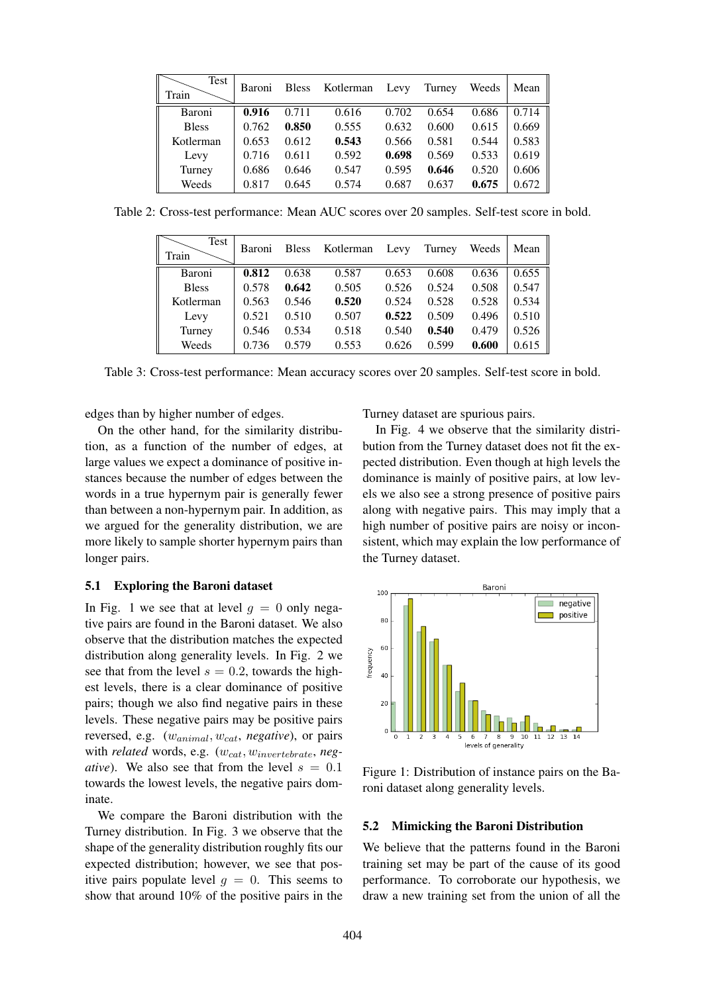| Test<br>Train | Baroni | <b>Bless</b> | Kotlerman | Levy  | Turney | Weeds | Mean  |
|---------------|--------|--------------|-----------|-------|--------|-------|-------|
| Baroni        | 0.916  | 0.711        | 0.616     | 0.702 | 0.654  | 0.686 | 0.714 |
| <b>Bless</b>  | 0.762  | 0.850        | 0.555     | 0.632 | 0.600  | 0.615 | 0.669 |
| Kotlerman     | 0.653  | 0.612        | 0.543     | 0.566 | 0.581  | 0.544 | 0.583 |
| Levy          | 0.716  | 0.611        | 0.592     | 0.698 | 0.569  | 0.533 | 0.619 |
| Turney        | 0.686  | 0.646        | 0.547     | 0.595 | 0.646  | 0.520 | 0.606 |
| Weeds         | 0.817  | 0.645        | 0.574     | 0.687 | 0.637  | 0.675 | 0.672 |

Table 2: Cross-test performance: Mean AUC scores over 20 samples. Self-test score in bold.

| Test<br>Train | Baroni | <b>Bless</b> | Kotlerman | Levy  | Turney | Weeds | Mean  |
|---------------|--------|--------------|-----------|-------|--------|-------|-------|
| Baroni        | 0.812  | 0.638        | 0.587     | 0.653 | 0.608  | 0.636 | 0.655 |
| <b>Bless</b>  | 0.578  | 0.642        | 0.505     | 0.526 | 0.524  | 0.508 | 0.547 |
| Kotlerman     | 0.563  | 0.546        | 0.520     | 0.524 | 0.528  | 0.528 | 0.534 |
| Levy          | 0.521  | 0.510        | 0.507     | 0.522 | 0.509  | 0.496 | 0.510 |
| Turney        | 0.546  | 0.534        | 0.518     | 0.540 | 0.540  | 0.479 | 0.526 |
| Weeds         | 0.736  | 0.579        | 0.553     | 0.626 | 0.599  | 0.600 | 0.615 |

Table 3: Cross-test performance: Mean accuracy scores over 20 samples. Self-test score in bold.

edges than by higher number of edges.

On the other hand, for the similarity distribution, as a function of the number of edges, at large values we expect a dominance of positive instances because the number of edges between the words in a true hypernym pair is generally fewer than between a non-hypernym pair. In addition, as we argued for the generality distribution, we are more likely to sample shorter hypernym pairs than longer pairs.

#### 5.1 Exploring the Baroni dataset

In Fig. 1 we see that at level  $q = 0$  only negative pairs are found in the Baroni dataset. We also observe that the distribution matches the expected distribution along generality levels. In Fig. 2 we see that from the level  $s = 0.2$ , towards the highest levels, there is a clear dominance of positive pairs; though we also find negative pairs in these levels. These negative pairs may be positive pairs reversed, e.g. (wanimal, wcat, *negative*), or pairs with *related* words, e.g.  $(w_{cat}, w_{invertebrate}, neg$ *ative*). We also see that from the level  $s = 0.1$ towards the lowest levels, the negative pairs dominate.

We compare the Baroni distribution with the Turney distribution. In Fig. 3 we observe that the shape of the generality distribution roughly fits our expected distribution; however, we see that positive pairs populate level  $g = 0$ . This seems to show that around 10% of the positive pairs in the Turney dataset are spurious pairs.

In Fig. 4 we observe that the similarity distribution from the Turney dataset does not fit the expected distribution. Even though at high levels the dominance is mainly of positive pairs, at low levels we also see a strong presence of positive pairs along with negative pairs. This may imply that a high number of positive pairs are noisy or inconsistent, which may explain the low performance of the Turney dataset.



Figure 1: Distribution of instance pairs on the Baroni dataset along generality levels.

#### 5.2 Mimicking the Baroni Distribution

We believe that the patterns found in the Baroni training set may be part of the cause of its good performance. To corroborate our hypothesis, we draw a new training set from the union of all the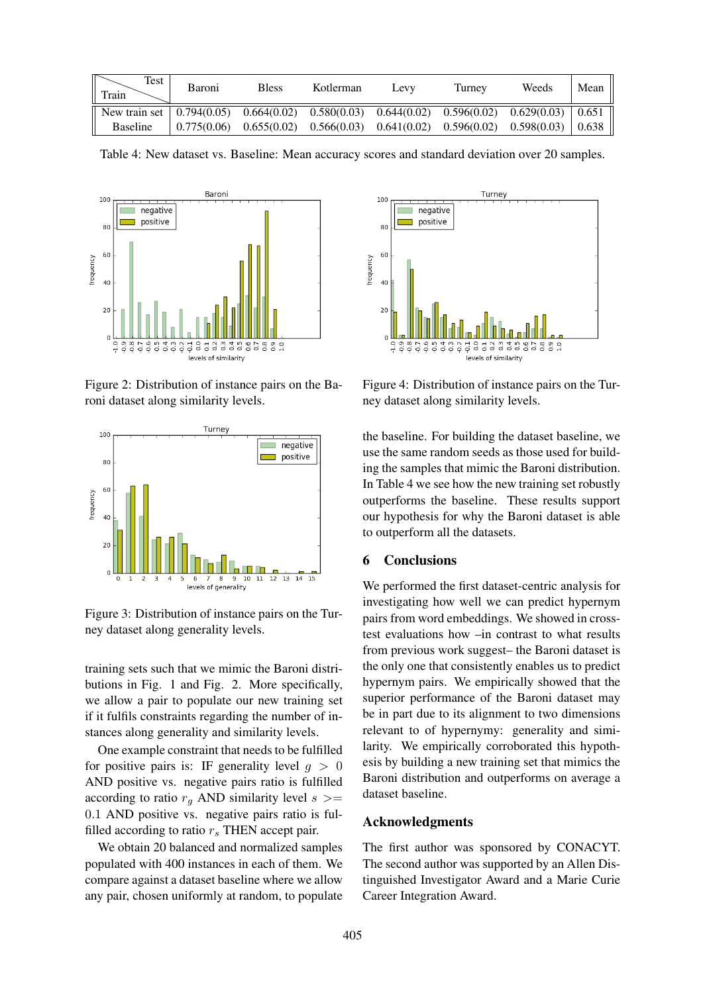| Test<br>Train                                                                                                                         | Baroni | <b>Bless</b>                                                                                                        | Kotlerman | Levy | Turney | Weeds | Mean  |
|---------------------------------------------------------------------------------------------------------------------------------------|--------|---------------------------------------------------------------------------------------------------------------------|-----------|------|--------|-------|-------|
| New train set $\begin{bmatrix} 0.794(0.05) & 0.664(0.02) & 0.580(0.03) & 0.644(0.02) & 0.596(0.02) & 0.629(0.03) \end{bmatrix}$ 0.651 |        |                                                                                                                     |           |      |        |       |       |
| <b>Baseline</b>                                                                                                                       |        | $\vert 0.775(0.06) \vert 0.655(0.02) \vert 0.566(0.03) \vert 0.641(0.02) \vert 0.596(0.02) \vert 0.598(0.03) \vert$ |           |      |        |       | 0.638 |

Table 4: New dataset vs. Baseline: Mean accuracy scores and standard deviation over 20 samples.



Figure 2: Distribution of instance pairs on the Baroni dataset along similarity levels.



Figure 3: Distribution of instance pairs on the Turney dataset along generality levels.

training sets such that we mimic the Baroni distributions in Fig. 1 and Fig. 2. More specifically, we allow a pair to populate our new training set if it fulfils constraints regarding the number of instances along generality and similarity levels.

One example constraint that needs to be fulfilled for positive pairs is: IF generality level  $q > 0$ AND positive vs. negative pairs ratio is fulfilled according to ratio  $r<sub>q</sub>$  AND similarity level  $s$  >= 0.1 AND positive vs. negative pairs ratio is fulfilled according to ratio  $r_s$  THEN accept pair.

We obtain 20 balanced and normalized samples populated with 400 instances in each of them. We compare against a dataset baseline where we allow any pair, chosen uniformly at random, to populate



Figure 4: Distribution of instance pairs on the Turney dataset along similarity levels.

the baseline. For building the dataset baseline, we use the same random seeds as those used for building the samples that mimic the Baroni distribution. In Table 4 we see how the new training set robustly outperforms the baseline. These results support our hypothesis for why the Baroni dataset is able to outperform all the datasets.

## 6 Conclusions

We performed the first dataset-centric analysis for investigating how well we can predict hypernym pairs from word embeddings. We showed in crosstest evaluations how –in contrast to what results from previous work suggest– the Baroni dataset is the only one that consistently enables us to predict hypernym pairs. We empirically showed that the superior performance of the Baroni dataset may be in part due to its alignment to two dimensions relevant to of hypernymy: generality and similarity. We empirically corroborated this hypothesis by building a new training set that mimics the Baroni distribution and outperforms on average a dataset baseline.

### Acknowledgments

The first author was sponsored by CONACYT. The second author was supported by an Allen Distinguished Investigator Award and a Marie Curie Career Integration Award.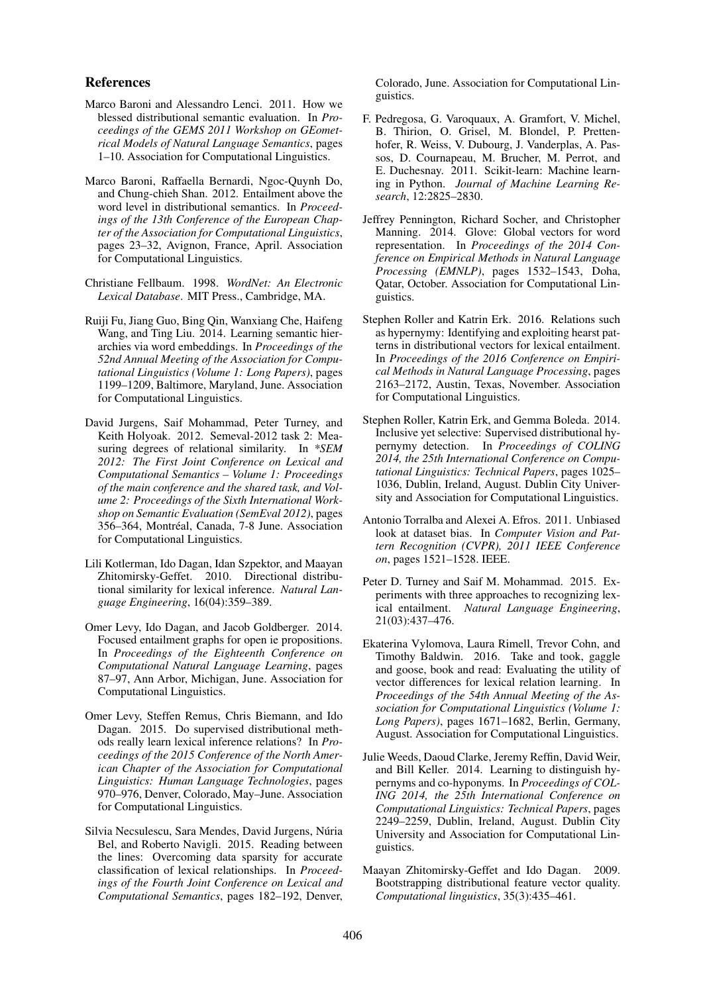#### References

- Marco Baroni and Alessandro Lenci. 2011. How we blessed distributional semantic evaluation. In *Proceedings of the GEMS 2011 Workshop on GEometrical Models of Natural Language Semantics*, pages 1–10. Association for Computational Linguistics.
- Marco Baroni, Raffaella Bernardi, Ngoc-Quynh Do, and Chung-chieh Shan. 2012. Entailment above the word level in distributional semantics. In *Proceedings of the 13th Conference of the European Chapter of the Association for Computational Linguistics*, pages 23–32, Avignon, France, April. Association for Computational Linguistics.
- Christiane Fellbaum. 1998. *WordNet: An Electronic Lexical Database*. MIT Press., Cambridge, MA.
- Ruiji Fu, Jiang Guo, Bing Qin, Wanxiang Che, Haifeng Wang, and Ting Liu. 2014. Learning semantic hierarchies via word embeddings. In *Proceedings of the 52nd Annual Meeting of the Association for Computational Linguistics (Volume 1: Long Papers)*, pages 1199–1209, Baltimore, Maryland, June. Association for Computational Linguistics.
- David Jurgens, Saif Mohammad, Peter Turney, and Keith Holyoak. 2012. Semeval-2012 task 2: Measuring degrees of relational similarity. In *\*SEM 2012: The First Joint Conference on Lexical and Computational Semantics – Volume 1: Proceedings of the main conference and the shared task, and Volume 2: Proceedings of the Sixth International Workshop on Semantic Evaluation (SemEval 2012)*, pages 356–364, Montreal, Canada, 7-8 June. Association ´ for Computational Linguistics.
- Lili Kotlerman, Ido Dagan, Idan Szpektor, and Maayan Zhitomirsky-Geffet. 2010. Directional distributional similarity for lexical inference. *Natural Language Engineering*, 16(04):359–389.
- Omer Levy, Ido Dagan, and Jacob Goldberger. 2014. Focused entailment graphs for open ie propositions. In *Proceedings of the Eighteenth Conference on Computational Natural Language Learning*, pages 87–97, Ann Arbor, Michigan, June. Association for Computational Linguistics.
- Omer Levy, Steffen Remus, Chris Biemann, and Ido Dagan. 2015. Do supervised distributional methods really learn lexical inference relations? In *Proceedings of the 2015 Conference of the North American Chapter of the Association for Computational Linguistics: Human Language Technologies*, pages 970–976, Denver, Colorado, May–June. Association for Computational Linguistics.
- Silvia Necsulescu, Sara Mendes, David Jurgens, Núria Bel, and Roberto Navigli. 2015. Reading between the lines: Overcoming data sparsity for accurate classification of lexical relationships. In *Proceedings of the Fourth Joint Conference on Lexical and Computational Semantics*, pages 182–192, Denver,

Colorado, June. Association for Computational Linguistics.

- F. Pedregosa, G. Varoquaux, A. Gramfort, V. Michel, B. Thirion, O. Grisel, M. Blondel, P. Prettenhofer, R. Weiss, V. Dubourg, J. Vanderplas, A. Passos, D. Cournapeau, M. Brucher, M. Perrot, and E. Duchesnay. 2011. Scikit-learn: Machine learning in Python. *Journal of Machine Learning Research*, 12:2825–2830.
- Jeffrey Pennington, Richard Socher, and Christopher Manning. 2014. Glove: Global vectors for word representation. In *Proceedings of the 2014 Conference on Empirical Methods in Natural Language Processing (EMNLP)*, pages 1532–1543, Doha, Qatar, October. Association for Computational Linguistics.
- Stephen Roller and Katrin Erk. 2016. Relations such as hypernymy: Identifying and exploiting hearst patterns in distributional vectors for lexical entailment. In *Proceedings of the 2016 Conference on Empirical Methods in Natural Language Processing*, pages 2163–2172, Austin, Texas, November. Association for Computational Linguistics.
- Stephen Roller, Katrin Erk, and Gemma Boleda. 2014. Inclusive yet selective: Supervised distributional hypernymy detection. In *Proceedings of COLING 2014, the 25th International Conference on Computational Linguistics: Technical Papers*, pages 1025– 1036, Dublin, Ireland, August. Dublin City University and Association for Computational Linguistics.
- Antonio Torralba and Alexei A. Efros. 2011. Unbiased look at dataset bias. In *Computer Vision and Pattern Recognition (CVPR), 2011 IEEE Conference on*, pages 1521–1528. IEEE.
- Peter D. Turney and Saif M. Mohammad. 2015. Experiments with three approaches to recognizing lexical entailment. *Natural Language Engineering*, 21(03):437–476.
- Ekaterina Vylomova, Laura Rimell, Trevor Cohn, and Timothy Baldwin. 2016. Take and took, gaggle and goose, book and read: Evaluating the utility of vector differences for lexical relation learning. In *Proceedings of the 54th Annual Meeting of the Association for Computational Linguistics (Volume 1: Long Papers)*, pages 1671–1682, Berlin, Germany, August. Association for Computational Linguistics.
- Julie Weeds, Daoud Clarke, Jeremy Reffin, David Weir, and Bill Keller. 2014. Learning to distinguish hypernyms and co-hyponyms. In *Proceedings of COL-ING 2014, the 25th International Conference on Computational Linguistics: Technical Papers*, pages 2249–2259, Dublin, Ireland, August. Dublin City University and Association for Computational Linguistics.
- Maayan Zhitomirsky-Geffet and Ido Dagan. 2009. Bootstrapping distributional feature vector quality. *Computational linguistics*, 35(3):435–461.